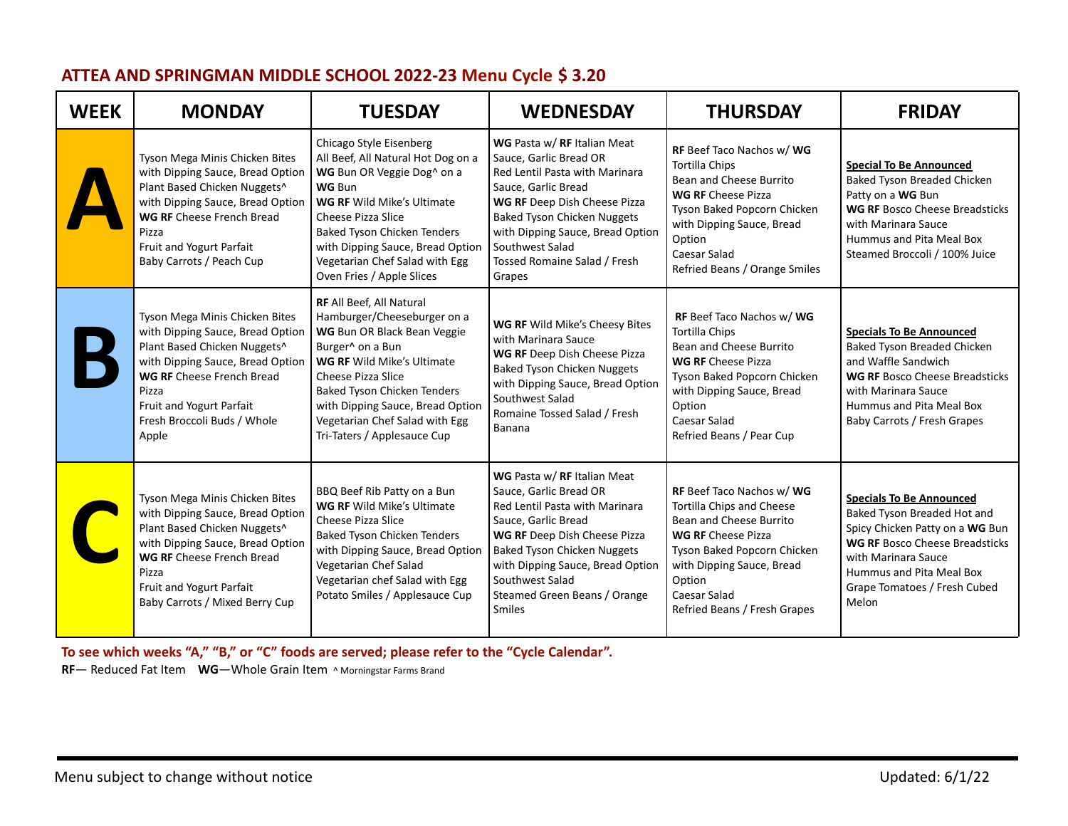| <b>WEEK</b> | <b>MONDAY</b>                                                                                                                                                                                                                                           | <b>TUESDAY</b>                                                                                                                                                                                                                                                                                                          | <b>WEDNESDAY</b>                                                                                                                                                                                                                                                                     | <b>THURSDAY</b>                                                                                                                                                                                                                             | <b>FRIDAY</b>                                                                                                                                                                                                                          |
|-------------|---------------------------------------------------------------------------------------------------------------------------------------------------------------------------------------------------------------------------------------------------------|-------------------------------------------------------------------------------------------------------------------------------------------------------------------------------------------------------------------------------------------------------------------------------------------------------------------------|--------------------------------------------------------------------------------------------------------------------------------------------------------------------------------------------------------------------------------------------------------------------------------------|---------------------------------------------------------------------------------------------------------------------------------------------------------------------------------------------------------------------------------------------|----------------------------------------------------------------------------------------------------------------------------------------------------------------------------------------------------------------------------------------|
|             | Tyson Mega Minis Chicken Bites<br>with Dipping Sauce, Bread Option<br>Plant Based Chicken Nuggets^<br>with Dipping Sauce, Bread Option<br><b>WG RF</b> Cheese French Bread<br>Pizza<br>Fruit and Yogurt Parfait<br>Baby Carrots / Peach Cup             | Chicago Style Eisenberg<br>All Beef, All Natural Hot Dog on a<br>WG Bun OR Veggie Dog^ on a<br><b>WG Bun</b><br><b>WG RF Wild Mike's Ultimate</b><br><b>Cheese Pizza Slice</b><br><b>Baked Tyson Chicken Tenders</b><br>with Dipping Sauce, Bread Option<br>Vegetarian Chef Salad with Egg<br>Oven Fries / Apple Slices | WG Pasta w/RF Italian Meat<br>Sauce, Garlic Bread OR<br>Red Lentil Pasta with Marinara<br>Sauce, Garlic Bread<br>WG RF Deep Dish Cheese Pizza<br><b>Baked Tyson Chicken Nuggets</b><br>with Dipping Sauce, Bread Option<br>Southwest Salad<br>Tossed Romaine Salad / Fresh<br>Grapes | RF Beef Taco Nachos w/ WG<br>Tortilla Chips<br>Bean and Cheese Burrito<br><b>WG RF Cheese Pizza</b><br>Tyson Baked Popcorn Chicken<br>with Dipping Sauce, Bread<br>Option<br>Caesar Salad<br>Refried Beans / Orange Smiles                  | <b>Special To Be Announced</b><br>Baked Tyson Breaded Chicken<br>Patty on a WG Bun<br><b>WG RF Bosco Cheese Breadsticks</b><br>with Marinara Sauce<br>Hummus and Pita Meal Box<br>Steamed Broccoli / 100% Juice                        |
|             | Tyson Mega Minis Chicken Bites<br>with Dipping Sauce, Bread Option<br>Plant Based Chicken Nuggets^<br>with Dipping Sauce, Bread Option<br><b>WG RF</b> Cheese French Bread<br>Pizza<br>Fruit and Yogurt Parfait<br>Fresh Broccoli Buds / Whole<br>Apple | RF All Beef, All Natural<br>Hamburger/Cheeseburger on a<br>WG Bun OR Black Bean Veggie<br>Burger^ on a Bun<br><b>WG RF Wild Mike's Ultimate</b><br>Cheese Pizza Slice<br>Baked Tyson Chicken Tenders<br>with Dipping Sauce, Bread Option<br>Vegetarian Chef Salad with Egg<br>Tri-Taters / Applesauce Cup               | WG RF Wild Mike's Cheesy Bites<br>with Marinara Sauce<br>WG RF Deep Dish Cheese Pizza<br><b>Baked Tyson Chicken Nuggets</b><br>with Dipping Sauce, Bread Option<br>Southwest Salad<br>Romaine Tossed Salad / Fresh<br>Banana                                                         | RF Beef Taco Nachos w/ WG<br><b>Tortilla Chips</b><br>Bean and Cheese Burrito<br><b>WG RF Cheese Pizza</b><br>Tyson Baked Popcorn Chicken<br>with Dipping Sauce, Bread<br>Option<br>Caesar Salad<br>Refried Beans / Pear Cup                | <b>Specials To Be Announced</b><br>Baked Tyson Breaded Chicken<br>and Waffle Sandwich<br><b>WG RF Bosco Cheese Breadsticks</b><br>with Marinara Sauce<br>Hummus and Pita Meal Box<br>Baby Carrots / Fresh Grapes                       |
|             | Tyson Mega Minis Chicken Bites<br>with Dipping Sauce, Bread Option<br>Plant Based Chicken Nuggets^<br>with Dipping Sauce, Bread Option<br>WG RF Cheese French Bread<br>Pizza<br>Fruit and Yogurt Parfait<br>Baby Carrots / Mixed Berry Cup              | BBQ Beef Rib Patty on a Bun<br><b>WG RF Wild Mike's Ultimate</b><br><b>Cheese Pizza Slice</b><br>Baked Tyson Chicken Tenders<br>with Dipping Sauce, Bread Option<br>Vegetarian Chef Salad<br>Vegetarian chef Salad with Egg<br>Potato Smiles / Applesauce Cup                                                           | WG Pasta w/RF Italian Meat<br>Sauce, Garlic Bread OR<br>Red Lentil Pasta with Marinara<br>Sauce, Garlic Bread<br>WG RF Deep Dish Cheese Pizza<br><b>Baked Tyson Chicken Nuggets</b><br>with Dipping Sauce, Bread Option<br>Southwest Salad<br>Steamed Green Beans / Orange<br>Smiles | RF Beef Taco Nachos w/ WG<br>Tortilla Chips and Cheese<br>Bean and Cheese Burrito<br><b>WG RF Cheese Pizza</b><br>Tyson Baked Popcorn Chicken<br>with Dipping Sauce, Bread<br>Option<br><b>Caesar Salad</b><br>Refried Beans / Fresh Grapes | <b>Specials To Be Announced</b><br>Baked Tyson Breaded Hot and<br>Spicy Chicken Patty on a WG Bun<br><b>WG RF Bosco Cheese Breadsticks</b><br>with Marinara Sauce<br>Hummus and Pita Meal Box<br>Grape Tomatoes / Fresh Cubed<br>Melon |

## **ATTEA AND SPRINGMAN MIDDLE SCHOOL 2022-23 Menu Cycle \$ 3.20**

**To see which weeks "A," "B," or "C" foods are served; please refer to the "Cycle Calendar".**

**RF**— Reduced Fat Item **WG**—Whole Grain Item ^ Morningstar Farms Brand